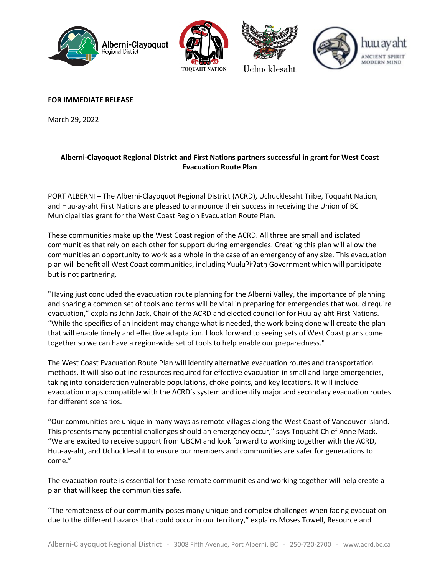







**FOR IMMEDIATE RELEASE** 

March 29, 2022

## **Alberni-Clayoquot Regional District and First Nations partners successful in grant for West Coast Evacuation Route Plan**

PORT ALBERNI – The Alberni-Clayoquot Regional District (ACRD), Uchucklesaht Tribe, Toquaht Nation, and Huu-ay-aht First Nations are pleased to announce their success in receiving the Union of BC Municipalities grant for the West Coast Region Evacuation Route Plan.

These communities make up the West Coast region of the ACRD. All three are small and isolated communities that rely on each other for support during emergencies. Creating this plan will allow the communities an opportunity to work as a whole in the case of an emergency of any size. This evacuation plan will benefit all West Coast communities, including Yuułuʔiłʔatḥ Government which will participate but is not partnering.

"Having just concluded the evacuation route planning for the Alberni Valley, the importance of planning and sharing a common set of tools and terms will be vital in preparing for emergencies that would require evacuation," explains John Jack, Chair of the ACRD and elected councillor for Huu-ay-aht First Nations. "While the specifics of an incident may change what is needed, the work being done will create the plan that will enable timely and effective adaptation. I look forward to seeing sets of West Coast plans come together so we can have a region-wide set of tools to help enable our preparedness."

The West Coast Evacuation Route Plan will identify alternative evacuation routes and transportation methods. It will also outline resources required for effective evacuation in small and large emergencies, taking into consideration vulnerable populations, choke points, and key locations. It will include evacuation maps compatible with the ACRD's system and identify major and secondary evacuation routes for different scenarios.

"Our communities are unique in many ways as remote villages along the West Coast of Vancouver Island. This presents many potential challenges should an emergency occur," says Toquaht Chief Anne Mack. "We are excited to receive support from UBCM and look forward to working together with the ACRD, Huu-ay-aht, and Uchucklesaht to ensure our members and communities are safer for generations to come."

The evacuation route is essential for these remote communities and working together will help create a plan that will keep the communities safe.

"The remoteness of our community poses many unique and complex challenges when facing evacuation due to the different hazards that could occur in our territory," explains Moses Towell, Resource and